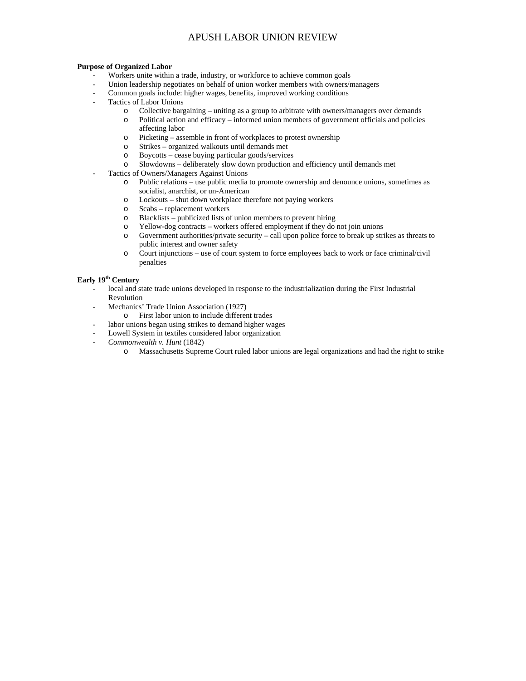#### **Purpose of Organized Labor**

- Workers unite within a trade, industry, or workforce to achieve common goals
- Union leadership negotiates on behalf of union worker members with owners/managers
- Common goals include: higher wages, benefits, improved working conditions
- Tactics of Labor Unions
	- o Collective bargaining uniting as a group to arbitrate with owners/managers over demands
	- o Political action and efficacy informed union members of government officials and policies affecting labor
	- o Picketing assemble in front of workplaces to protest ownership
	- o Strikes organized walkouts until demands met
	- o Boycotts cease buying particular goods/services
	- o Slowdowns deliberately slow down production and efficiency until demands met
- Tactics of Owners/Managers Against Unions
	- o Public relations use public media to promote ownership and denounce unions, sometimes as socialist, anarchist, or un-American
	- o Lockouts shut down workplace therefore not paying workers
	- o Scabs replacement workers
	- o Blacklists publicized lists of union members to prevent hiring
	- o Yellow-dog contracts workers offered employment if they do not join unions
	- o Government authorities/private security call upon police force to break up strikes as threats to public interest and owner safety
	- o Court injunctions use of court system to force employees back to work or face criminal/civil penalties

### Early 19<sup>th</sup> Century

- local and state trade unions developed in response to the industrialization during the First Industrial Revolution
	- Mechanics' Trade Union Association (1927)
		- o First labor union to include different trades
- labor unions began using strikes to demand higher wages
- Lowell System in textiles considered labor organization
- *Commonwealth v. Hunt* (1842)
	- o Massachusetts Supreme Court ruled labor unions are legal organizations and had the right to strike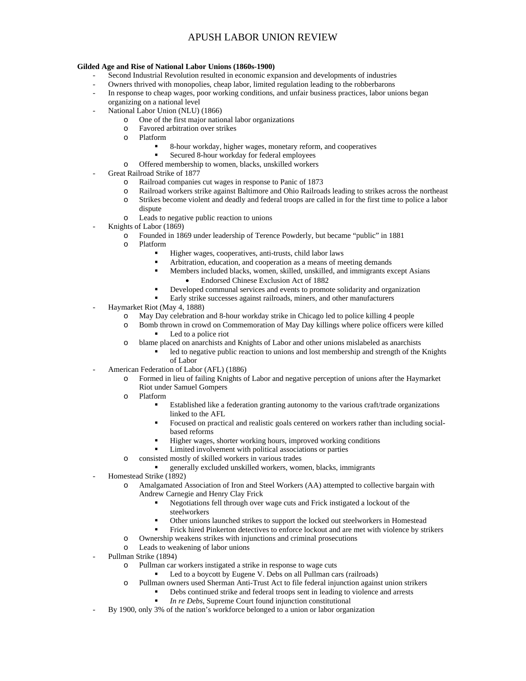#### **Gilded Age and Rise of National Labor Unions (1860s-1900)**

- Second Industrial Revolution resulted in economic expansion and developments of industries
- Owners thrived with monopolies, cheap labor, limited regulation leading to the robberbarons
- In response to cheap wages, poor working conditions, and unfair business practices, labor unions began organizing on a national level
- National Labor Union (NLU) (1866)
	- o One of the first major national labor organizations
	- o Favored arbitration over strikes
	- o Platform
		- 8-hour workday, higher wages, monetary reform, and cooperatives
		- Secured 8-hour workday for federal employees
	- o Offered membership to women, blacks, unskilled workers
- Great Railroad Strike of 1877
	- o Railroad companies cut wages in response to Panic of 1873
	- o Railroad workers strike against Baltimore and Ohio Railroads leading to strikes across the northeast
	- o Strikes become violent and deadly and federal troops are called in for the first time to police a labor dispute
	- o Leads to negative public reaction to unions
- Knights of Labor (1869)
	- o Founded in 1869 under leadership of Terence Powderly, but became "public" in 1881
	- o Platform
		- Higher wages, cooperatives, anti-trusts, child labor laws
		- Arbitration, education, and cooperation as a means of meeting demands
		- Members included blacks, women, skilled, unskilled, and immigrants except Asians Endorsed Chinese Exclusion Act of 1882
		- Developed communal services and events to promote solidarity and organization
		- Early strike successes against railroads, miners, and other manufacturers
- Haymarket Riot (May 4, 1888)
	- o May Day celebration and 8-hour workday strike in Chicago led to police killing 4 people
	- o Bomb thrown in crowd on Commemoration of May Day killings where police officers were killed Led to a police riot
	- o blame placed on anarchists and Knights of Labor and other unions mislabeled as anarchists
		- led to negative public reaction to unions and lost membership and strength of the Knights of Labor
- American Federation of Labor (AFL) (1886)
	- o Formed in lieu of failing Knights of Labor and negative perception of unions after the Haymarket Riot under Samuel Gompers
	- o Platform
		- Established like a federation granting autonomy to the various craft/trade organizations linked to the AFL
		- Focused on practical and realistic goals centered on workers rather than including socialbased reforms
		- Higher wages, shorter working hours, improved working conditions
		- Limited involvement with political associations or parties
	- o consisted mostly of skilled workers in various trades
	- generally excluded unskilled workers, women, blacks, immigrants
- Homestead Strike (1892)
	- o Amalgamated Association of Iron and Steel Workers (AA) attempted to collective bargain with Andrew Carnegie and Henry Clay Frick
		- Negotiations fell through over wage cuts and Frick instigated a lockout of the steelworkers
		- Other unions launched strikes to support the locked out steelworkers in Homestead
		- Frick hired Pinkerton detectives to enforce lockout and are met with violence by strikers
	- o Ownership weakens strikes with injunctions and criminal prosecutions
	- o Leads to weakening of labor unions
- Pullman Strike (1894)
	- o Pullman car workers instigated a strike in response to wage cuts
		- Led to a boycott by Eugene V. Debs on all Pullman cars (railroads)
	- o Pullman owners used Sherman Anti-Trust Act to file federal injunction against union strikers
		- **•** Debs continued strike and federal troops sent in leading to violence and arrests
			- *In re Debs*, Supreme Court found injunction constitutional
- By 1900, only 3% of the nation's workforce belonged to a union or labor organization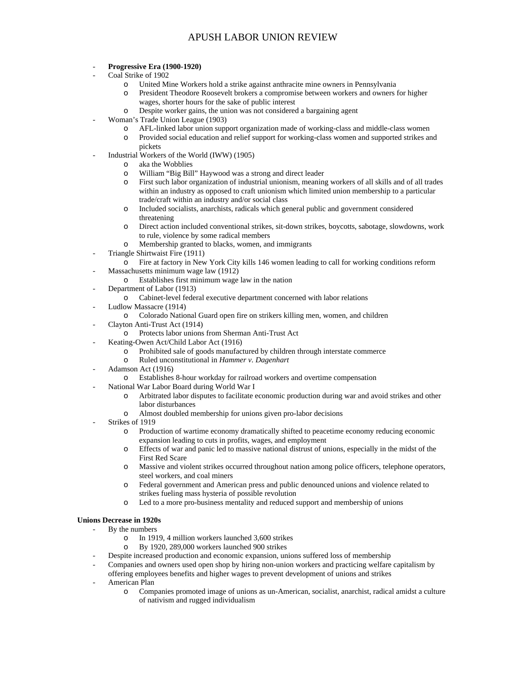#### - **Progressive Era (1900-1920)**

- Coal Strike of 1902
	- o United Mine Workers hold a strike against anthracite mine owners in Pennsylvania
	- o President Theodore Roosevelt brokers a compromise between workers and owners for higher wages, shorter hours for the sake of public interest
	- o Despite worker gains, the union was not considered a bargaining agent
- Woman's Trade Union League (1903)
	- o AFL-linked labor union support organization made of working-class and middle-class women
	- o Provided social education and relief support for working-class women and supported strikes and pickets
- Industrial Workers of the World (IWW) (1905)
	- o aka the Wobblies
	- o William "Big Bill" Haywood was a strong and direct leader
	- o First such labor organization of industrial unionism, meaning workers of all skills and of all trades within an industry as opposed to craft unionism which limited union membership to a particular trade/craft within an industry and/or social class
	- o Included socialists, anarchists, radicals which general public and government considered threatening
	- o Direct action included conventional strikes, sit-down strikes, boycotts, sabotage, slowdowns, work to rule, violence by some radical members
	- o Membership granted to blacks, women, and immigrants
- Triangle Shirtwaist Fire (1911)
	- o Fire at factory in New York City kills 146 women leading to call for working conditions reform Massachusetts minimum wage law (1912)
	- o Establishes first minimum wage law in the nation
- Department of Labor (1913)
	- o Cabinet-level federal executive department concerned with labor relations
- Ludlow Massacre (1914)
	- o Colorado National Guard open fire on strikers killing men, women, and children
- Clayton Anti-Trust Act (1914)
	- o Protects labor unions from Sherman Anti-Trust Act
- Keating-Owen Act/Child Labor Act (1916)
	- o Prohibited sale of goods manufactured by children through interstate commerce
	- o Ruled unconstitutional in *Hammer v. Dagenhart*
- Adamson Act (1916)
	- o Establishes 8-hour workday for railroad workers and overtime compensation
- National War Labor Board during World War I
	- o Arbitrated labor disputes to facilitate economic production during war and avoid strikes and other labor disturbances
	- o Almost doubled membership for unions given pro-labor decisions
- Strikes of 1919
	- o Production of wartime economy dramatically shifted to peacetime economy reducing economic expansion leading to cuts in profits, wages, and employment
	- o Effects of war and panic led to massive national distrust of unions, especially in the midst of the First Red Scare
	- o Massive and violent strikes occurred throughout nation among police officers, telephone operators, steel workers, and coal miners
	- o Federal government and American press and public denounced unions and violence related to strikes fueling mass hysteria of possible revolution
	- o Led to a more pro-business mentality and reduced support and membership of unions

#### **Unions Decrease in 1920s**

- By the numbers
	- o In 1919, 4 million workers launched 3,600 strikes
	- o By 1920, 289,000 workers launched 900 strikes
	- Despite increased production and economic expansion, unions suffered loss of membership
- Companies and owners used open shop by hiring non-union workers and practicing welfare capitalism by offering employees benefits and higher wages to prevent development of unions and strikes
- American Plan
	- o Companies promoted image of unions as un-American, socialist, anarchist, radical amidst a culture of nativism and rugged individualism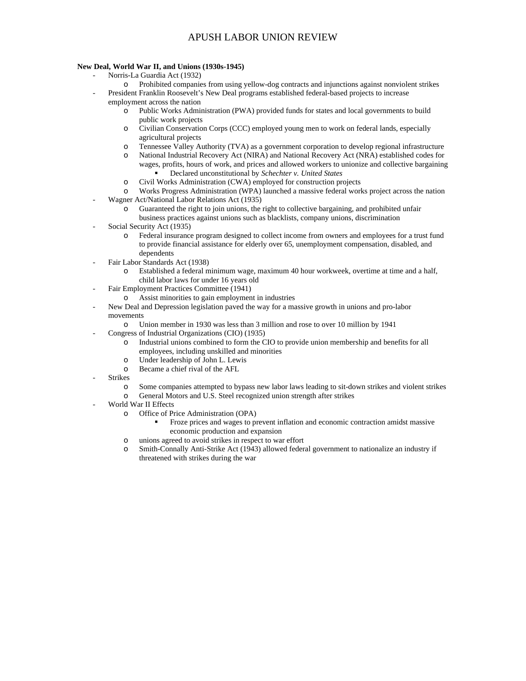#### **New Deal, World War II, and Unions (1930s-1945)**

- Norris-La Guardia Act (1932)
	- o Prohibited companies from using yellow-dog contracts and injunctions against nonviolent strikes
	- President Franklin Roosevelt's New Deal programs established federal-based projects to increase employment across the nation
		- o Public Works Administration (PWA) provided funds for states and local governments to build public work projects
		- o Civilian Conservation Corps (CCC) employed young men to work on federal lands, especially agricultural projects
		- o Tennessee Valley Authority (TVA) as a government corporation to develop regional infrastructure
		- o National Industrial Recovery Act (NIRA) and National Recovery Act (NRA) established codes for wages, profits, hours of work, and prices and allowed workers to unionize and collective bargaining Declared unconstitutional by *Schechter v. United States*
		- o Civil Works Administration (CWA) employed for construction projects
		- o Works Progress Administration (WPA) launched a massive federal works project across the nation
- Wagner Act/National Labor Relations Act (1935)
	- o Guaranteed the right to join unions, the right to collective bargaining, and prohibited unfair business practices against unions such as blacklists, company unions, discrimination
- 
- Social Security Act (1935)
	- o Federal insurance program designed to collect income from owners and employees for a trust fund to provide financial assistance for elderly over 65, unemployment compensation, disabled, and dependents
- Fair Labor Standards Act (1938)
	- o Established a federal minimum wage, maximum 40 hour workweek, overtime at time and a half, child labor laws for under 16 years old
- Fair Employment Practices Committee (1941)
	- o Assist minorities to gain employment in industries
- New Deal and Depression legislation paved the way for a massive growth in unions and pro-labor movements
	- o Union member in 1930 was less than 3 million and rose to over 10 million by 1941
- Congress of Industrial Organizations (CIO) (1935)
	- o Industrial unions combined to form the CIO to provide union membership and benefits for all employees, including unskilled and minorities
	- o Under leadership of John L. Lewis
	- o Became a chief rival of the AFL
- **Strikes** 
	- o Some companies attempted to bypass new labor laws leading to sit-down strikes and violent strikes o General Motors and U.S. Steel recognized union strength after strikes
- World War II Effects
	- o Office of Price Administration (OPA)
		- Froze prices and wages to prevent inflation and economic contraction amidst massive economic production and expansion
	- o unions agreed to avoid strikes in respect to war effort
	- o Smith-Connally Anti-Strike Act (1943) allowed federal government to nationalize an industry if threatened with strikes during the war